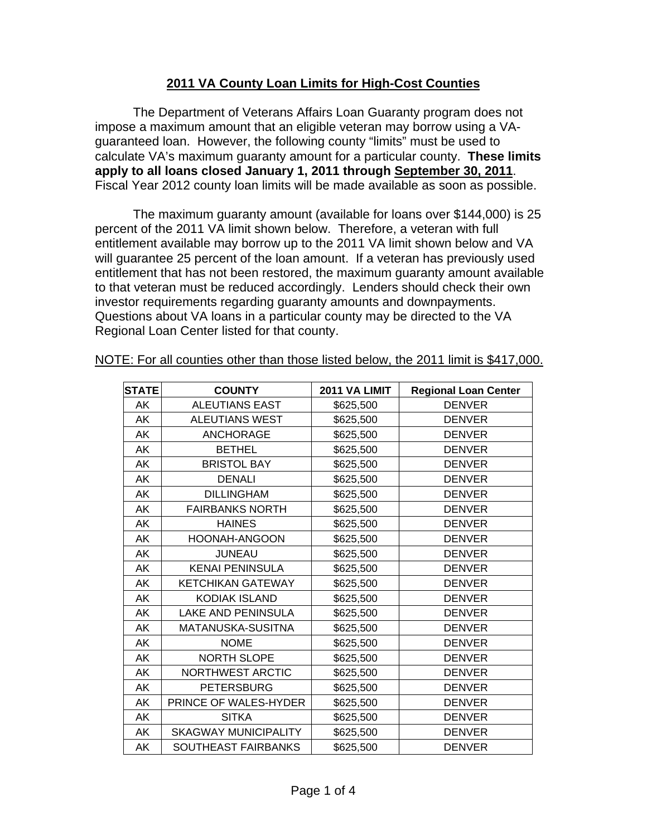## **2011 VA County Loan Limits for High-Cost Counties**

The Department of Veterans Affairs Loan Guaranty program does not impose a maximum amount that an eligible veteran may borrow using a VAguaranteed loan. However, the following county "limits" must be used to calculate VA's maximum guaranty amount for a particular county. **These limits apply to all loans closed January 1, 2011 through September 30, 2011**. Fiscal Year 2012 county loan limits will be made available as soon as possible.

The maximum guaranty amount (available for loans over \$144,000) is 25 percent of the 2011 VA limit shown below. Therefore, a veteran with full entitlement available may borrow up to the 2011 VA limit shown below and VA will guarantee 25 percent of the loan amount. If a veteran has previously used entitlement that has not been restored, the maximum guaranty amount available to that veteran must be reduced accordingly. Lenders should check their own investor requirements regarding guaranty amounts and downpayments. Questions about VA loans in a particular county may be directed to the VA Regional Loan Center listed for that county.

| <b>STATE</b> | <b>COUNTY</b>               | 2011 VA LIMIT | <b>Regional Loan Center</b> |
|--------------|-----------------------------|---------------|-----------------------------|
| AK           | <b>ALEUTIANS EAST</b>       | \$625,500     | <b>DENVER</b>               |
| AK           | <b>ALEUTIANS WEST</b>       | \$625,500     | <b>DENVER</b>               |
| AK           | <b>ANCHORAGE</b>            | \$625,500     | <b>DENVER</b>               |
| AK           | <b>BETHEL</b>               | \$625,500     | <b>DENVER</b>               |
| AK           | <b>BRISTOL BAY</b>          | \$625,500     | <b>DENVER</b>               |
| AK           | <b>DENALI</b>               | \$625,500     | <b>DENVER</b>               |
| AK           | <b>DILLINGHAM</b>           | \$625,500     | <b>DENVER</b>               |
| AK           | <b>FAIRBANKS NORTH</b>      | \$625,500     | <b>DENVER</b>               |
| AK           | <b>HAINES</b>               | \$625,500     | <b>DENVER</b>               |
| AK           | <b>HOONAH-ANGOON</b>        | \$625,500     | <b>DENVER</b>               |
| AK           | <b>JUNEAU</b>               | \$625,500     | <b>DENVER</b>               |
| AK           | <b>KENAI PENINSULA</b>      | \$625,500     | <b>DENVER</b>               |
| AK           | <b>KETCHIKAN GATEWAY</b>    | \$625,500     | <b>DENVER</b>               |
| AK           | <b>KODIAK ISLAND</b>        | \$625,500     | <b>DENVER</b>               |
| AK           | LAKE AND PENINSULA          | \$625,500     | <b>DENVER</b>               |
| AK           | MATANUSKA-SUSITNA           | \$625,500     | <b>DENVER</b>               |
| AK           | <b>NOME</b>                 | \$625,500     | <b>DENVER</b>               |
| AK           | <b>NORTH SLOPE</b>          | \$625,500     | <b>DENVER</b>               |
| AK           | NORTHWEST ARCTIC            | \$625,500     | <b>DENVER</b>               |
| AK           | <b>PETERSBURG</b>           | \$625,500     | <b>DENVER</b>               |
| AK           | PRINCE OF WALES-HYDER       | \$625,500     | <b>DENVER</b>               |
| AK           | <b>SITKA</b>                | \$625,500     | <b>DENVER</b>               |
| AK           | <b>SKAGWAY MUNICIPALITY</b> | \$625,500     | <b>DENVER</b>               |
| AK           | SOUTHEAST FAIRBANKS         | \$625,500     | <b>DENVER</b>               |

NOTE: For all counties other than those listed below, the 2011 limit is \$417,000.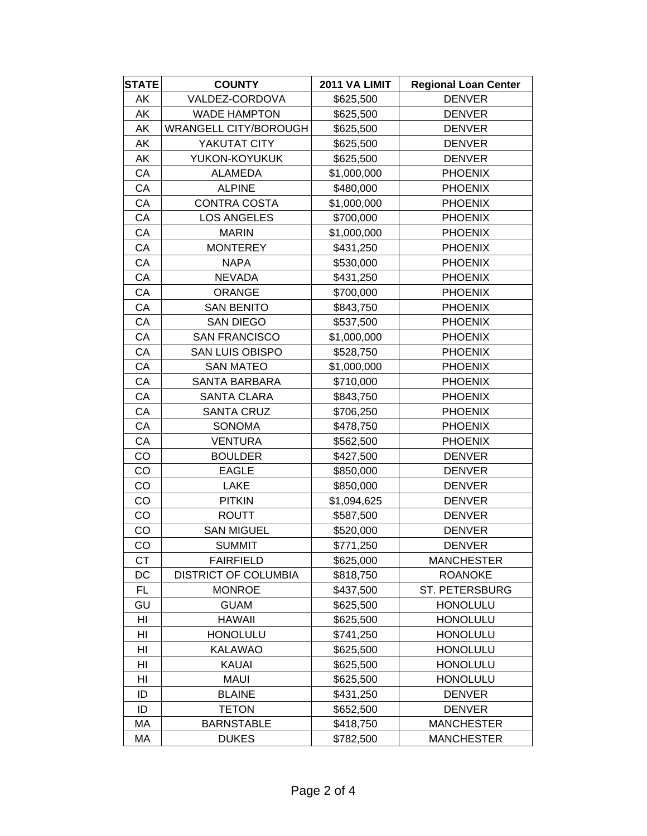| <b>STATE</b> | <b>COUNTY</b>                | 2011 VA LIMIT | <b>Regional Loan Center</b> |
|--------------|------------------------------|---------------|-----------------------------|
| AK           | VALDEZ-CORDOVA               | \$625,500     | <b>DENVER</b>               |
| AK           | <b>WADE HAMPTON</b>          | \$625,500     | <b>DENVER</b>               |
| AK           | <b>WRANGELL CITY/BOROUGH</b> | \$625,500     | <b>DENVER</b>               |
| AK           | YAKUTAT CITY                 | \$625,500     | <b>DENVER</b>               |
| AK           | YUKON-KOYUKUK                | \$625,500     | <b>DENVER</b>               |
| CA           | ALAMEDA                      | \$1,000,000   | <b>PHOENIX</b>              |
| CA           | <b>ALPINE</b>                | \$480,000     | <b>PHOENIX</b>              |
| CA           | <b>CONTRA COSTA</b>          | \$1,000,000   | <b>PHOENIX</b>              |
| CA           | <b>LOS ANGELES</b>           | \$700,000     | <b>PHOENIX</b>              |
| CA           | <b>MARIN</b>                 | \$1,000,000   | <b>PHOENIX</b>              |
| СA           | <b>MONTEREY</b>              | \$431,250     | <b>PHOENIX</b>              |
| CA           | <b>NAPA</b>                  | \$530,000     | <b>PHOENIX</b>              |
| CA           | <b>NEVADA</b>                | \$431,250     | <b>PHOENIX</b>              |
| CA           | <b>ORANGE</b>                | \$700,000     | <b>PHOENIX</b>              |
| CA           | <b>SAN BENITO</b>            | \$843,750     | <b>PHOENIX</b>              |
| CA           | SAN DIEGO                    | \$537,500     | <b>PHOENIX</b>              |
| CA           | <b>SAN FRANCISCO</b>         | \$1,000,000   | <b>PHOENIX</b>              |
| CA           | <b>SAN LUIS OBISPO</b>       | \$528,750     | <b>PHOENIX</b>              |
| CA           | <b>SAN MATEO</b>             | \$1,000,000   | <b>PHOENIX</b>              |
| CA           | <b>SANTA BARBARA</b>         | \$710,000     | <b>PHOENIX</b>              |
| СA           | <b>SANTA CLARA</b>           | \$843,750     | <b>PHOENIX</b>              |
| CA           | <b>SANTA CRUZ</b>            | \$706,250     | <b>PHOENIX</b>              |
| CA           | <b>SONOMA</b>                | \$478,750     | <b>PHOENIX</b>              |
| CA           | <b>VENTURA</b>               | \$562,500     | <b>PHOENIX</b>              |
| CO           | <b>BOULDER</b>               | \$427,500     | <b>DENVER</b>               |
| CO           | <b>EAGLE</b>                 | \$850,000     | <b>DENVER</b>               |
| CO           | <b>LAKE</b>                  | \$850,000     | <b>DENVER</b>               |
| CO           | <b>PITKIN</b>                | \$1,094,625   | <b>DENVER</b>               |
| CO           | <b>ROUTT</b>                 | \$587,500     | <b>DENVER</b>               |
| CO           | <b>SAN MIGUEL</b>            | \$520,000     | <b>DENVER</b>               |
| CO           | <b>SUMMIT</b>                | \$771,250     | <b>DENVER</b>               |
| <b>CT</b>    | <b>FAIRFIELD</b>             | \$625,000     | <b>MANCHESTER</b>           |
| DC           | <b>DISTRICT OF COLUMBIA</b>  | \$818,750     | <b>ROANOKE</b>              |
| <b>FL</b>    | <b>MONROE</b>                | \$437,500     | ST. PETERSBURG              |
| GU           | <b>GUAM</b>                  | \$625,500     | <b>HONOLULU</b>             |
| HI           | <b>HAWAII</b>                | \$625,500     | <b>HONOLULU</b>             |
| HI           | <b>HONOLULU</b>              | \$741,250     | <b>HONOLULU</b>             |
| HI           | <b>KALAWAO</b>               | \$625,500     | <b>HONOLULU</b>             |
| HI           | KAUAI                        | \$625,500     | <b>HONOLULU</b>             |
| HI           | <b>MAUI</b>                  | \$625,500     | <b>HONOLULU</b>             |
| ID           | <b>BLAINE</b>                | \$431,250     | <b>DENVER</b>               |
| ID           | <b>TETON</b>                 | \$652,500     | <b>DENVER</b>               |
| MA           | <b>BARNSTABLE</b>            | \$418,750     | <b>MANCHESTER</b>           |
| MA           | <b>DUKES</b>                 | \$782,500     | <b>MANCHESTER</b>           |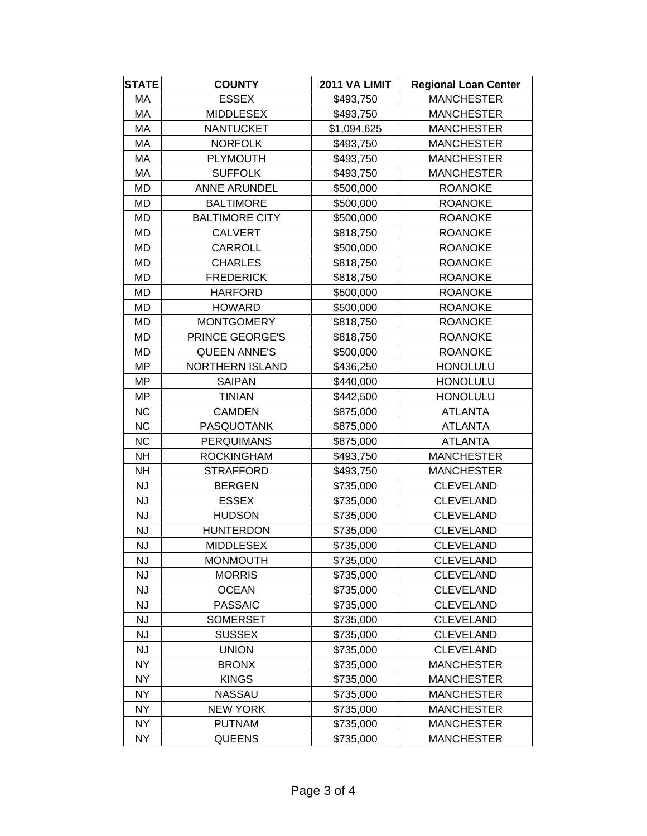| <b>STATE</b> | <b>COUNTY</b>          | 2011 VA LIMIT | <b>Regional Loan Center</b> |
|--------------|------------------------|---------------|-----------------------------|
| МA           | <b>ESSEX</b>           | \$493,750     | <b>MANCHESTER</b>           |
| МA           | <b>MIDDLESEX</b>       | \$493,750     | <b>MANCHESTER</b>           |
| MA           | <b>NANTUCKET</b>       | \$1,094,625   | <b>MANCHESTER</b>           |
| MA           | <b>NORFOLK</b>         | \$493,750     | <b>MANCHESTER</b>           |
| MA           | <b>PLYMOUTH</b>        | \$493,750     | <b>MANCHESTER</b>           |
| MA           | <b>SUFFOLK</b>         | \$493,750     | <b>MANCHESTER</b>           |
| MD           | <b>ANNE ARUNDEL</b>    | \$500,000     | <b>ROANOKE</b>              |
| MD           | <b>BALTIMORE</b>       | \$500,000     | <b>ROANOKE</b>              |
| <b>MD</b>    | <b>BALTIMORE CITY</b>  | \$500,000     | <b>ROANOKE</b>              |
| MD           | <b>CALVERT</b>         | \$818,750     | <b>ROANOKE</b>              |
| MD           | <b>CARROLL</b>         | \$500,000     | <b>ROANOKE</b>              |
| MD           | <b>CHARLES</b>         | \$818,750     | <b>ROANOKE</b>              |
| MD           | <b>FREDERICK</b>       | \$818,750     | <b>ROANOKE</b>              |
| MD           | <b>HARFORD</b>         | \$500,000     | <b>ROANOKE</b>              |
| MD           | <b>HOWARD</b>          | \$500,000     | <b>ROANOKE</b>              |
| MD           | <b>MONTGOMERY</b>      | \$818,750     | <b>ROANOKE</b>              |
| MD           | PRINCE GEORGE'S        | \$818,750     | <b>ROANOKE</b>              |
| MD           | <b>QUEEN ANNE'S</b>    | \$500,000     | <b>ROANOKE</b>              |
| <b>MP</b>    | <b>NORTHERN ISLAND</b> | \$436,250     | <b>HONOLULU</b>             |
| <b>MP</b>    | <b>SAIPAN</b>          | \$440,000     | <b>HONOLULU</b>             |
| <b>MP</b>    | <b>TINIAN</b>          | \$442,500     | <b>HONOLULU</b>             |
| <b>NC</b>    | <b>CAMDEN</b>          | \$875,000     | <b>ATLANTA</b>              |
| <b>NC</b>    | <b>PASQUOTANK</b>      | \$875,000     | <b>ATLANTA</b>              |
| <b>NC</b>    | <b>PERQUIMANS</b>      | \$875,000     | <b>ATLANTA</b>              |
| <b>NH</b>    | <b>ROCKINGHAM</b>      | \$493,750     | <b>MANCHESTER</b>           |
| <b>NH</b>    | <b>STRAFFORD</b>       | \$493,750     | <b>MANCHESTER</b>           |
| <b>NJ</b>    | <b>BERGEN</b>          | \$735,000     | <b>CLEVELAND</b>            |
| <b>NJ</b>    | <b>ESSEX</b>           | \$735,000     | <b>CLEVELAND</b>            |
| <b>NJ</b>    | <b>HUDSON</b>          | \$735,000     | <b>CLEVELAND</b>            |
| <b>NJ</b>    | <b>HUNTERDON</b>       | \$735,000     | <b>CLEVELAND</b>            |
| NJ           | <b>MIDDLESEX</b>       | \$735,000     | <b>CLEVELAND</b>            |
| <b>NJ</b>    | <b>MONMOUTH</b>        | \$735,000     | <b>CLEVELAND</b>            |
| <b>NJ</b>    | <b>MORRIS</b>          | \$735,000     | <b>CLEVELAND</b>            |
| <b>NJ</b>    | <b>OCEAN</b>           | \$735,000     | <b>CLEVELAND</b>            |
| <b>NJ</b>    | <b>PASSAIC</b>         | \$735,000     | <b>CLEVELAND</b>            |
| <b>NJ</b>    | <b>SOMERSET</b>        | \$735,000     | <b>CLEVELAND</b>            |
| <b>NJ</b>    | <b>SUSSEX</b>          | \$735,000     | <b>CLEVELAND</b>            |
| <b>NJ</b>    | <b>UNION</b>           | \$735,000     | <b>CLEVELAND</b>            |
| <b>NY</b>    | <b>BRONX</b>           | \$735,000     | <b>MANCHESTER</b>           |
| <b>NY</b>    | <b>KINGS</b>           | \$735,000     | <b>MANCHESTER</b>           |
| <b>NY</b>    | NASSAU                 | \$735,000     | <b>MANCHESTER</b>           |
| <b>NY</b>    | <b>NEW YORK</b>        | \$735,000     | <b>MANCHESTER</b>           |
| <b>NY</b>    | <b>PUTNAM</b>          | \$735,000     | <b>MANCHESTER</b>           |
| <b>NY</b>    | <b>QUEENS</b>          | \$735,000     | <b>MANCHESTER</b>           |